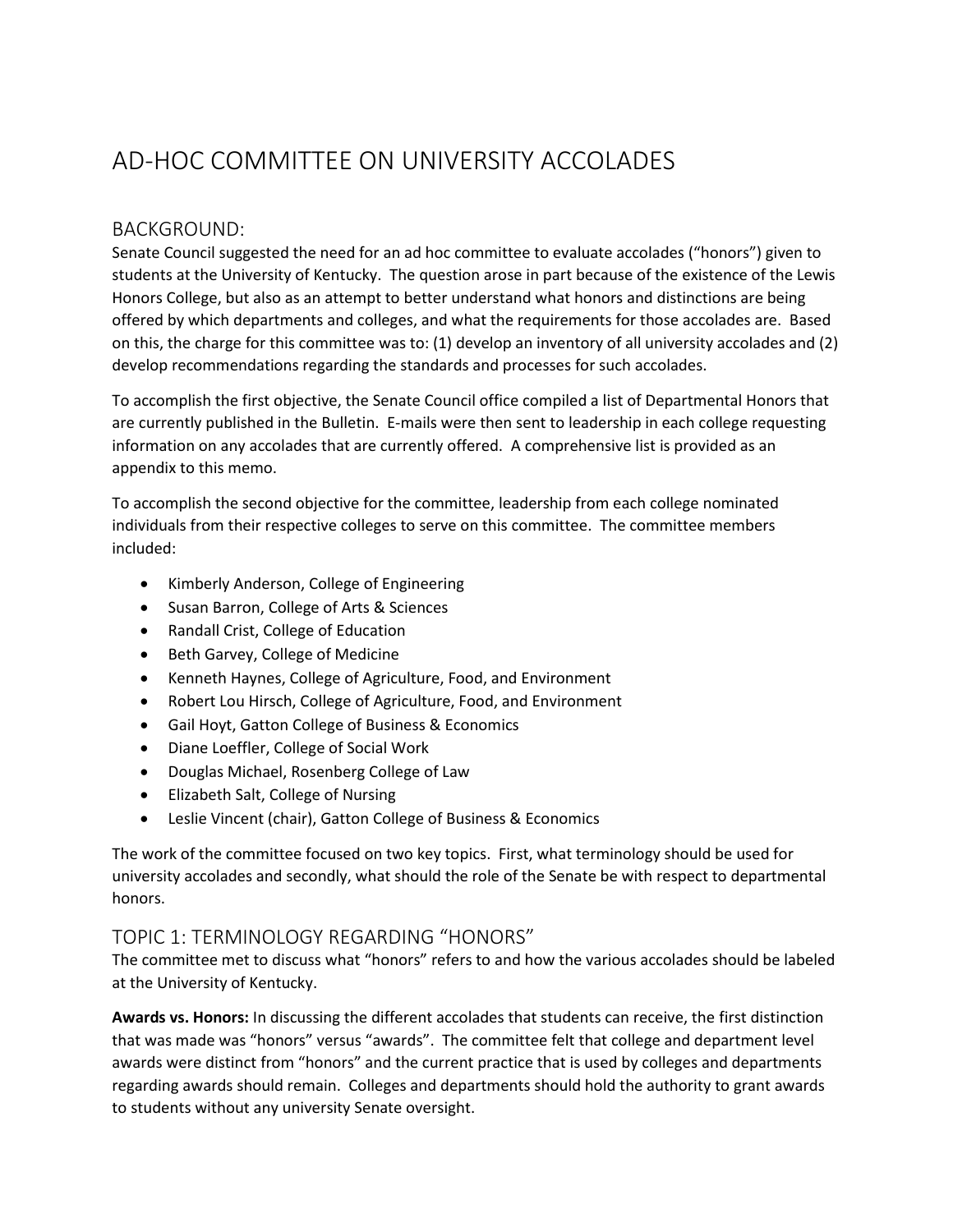# AD-HOC COMMITTEE ON UNIVERSITY ACCOLADES

## BACKGROUND:

Senate Council suggested the need for an ad hoc committee to evaluate accolades ("honors") given to students at the University of Kentucky. The question arose in part because of the existence of the Lewis Honors College, but also as an attempt to better understand what honors and distinctions are being offered by which departments and colleges, and what the requirements for those accolades are. Based on this, the charge for this committee was to: (1) develop an inventory of all university accolades and (2) develop recommendations regarding the standards and processes for such accolades.

To accomplish the first objective, the Senate Council office compiled a list of Departmental Honors that are currently published in the Bulletin. E-mails were then sent to leadership in each college requesting information on any accolades that are currently offered. A comprehensive list is provided as an appendix to this memo.

To accomplish the second objective for the committee, leadership from each college nominated individuals from their respective colleges to serve on this committee. The committee members included:

- Kimberly Anderson, College of Engineering
- Susan Barron, College of Arts & Sciences
- Randall Crist, College of Education
- Beth Garvey, College of Medicine
- Kenneth Haynes, College of Agriculture, Food, and Environment
- Robert Lou Hirsch, College of Agriculture, Food, and Environment
- Gail Hoyt, Gatton College of Business & Economics
- Diane Loeffler, College of Social Work
- Douglas Michael, Rosenberg College of Law
- Elizabeth Salt, College of Nursing
- Leslie Vincent (chair), Gatton College of Business & Economics

The work of the committee focused on two key topics. First, what terminology should be used for university accolades and secondly, what should the role of the Senate be with respect to departmental honors.

## TOPIC 1: TERMINOLOGY REGARDING "HONORS"

The committee met to discuss what "honors" refers to and how the various accolades should be labeled at the University of Kentucky.

**Awards vs. Honors:** In discussing the different accolades that students can receive, the first distinction that was made was "honors" versus "awards". The committee felt that college and department level awards were distinct from "honors" and the current practice that is used by colleges and departments regarding awards should remain. Colleges and departments should hold the authority to grant awards to students without any university Senate oversight.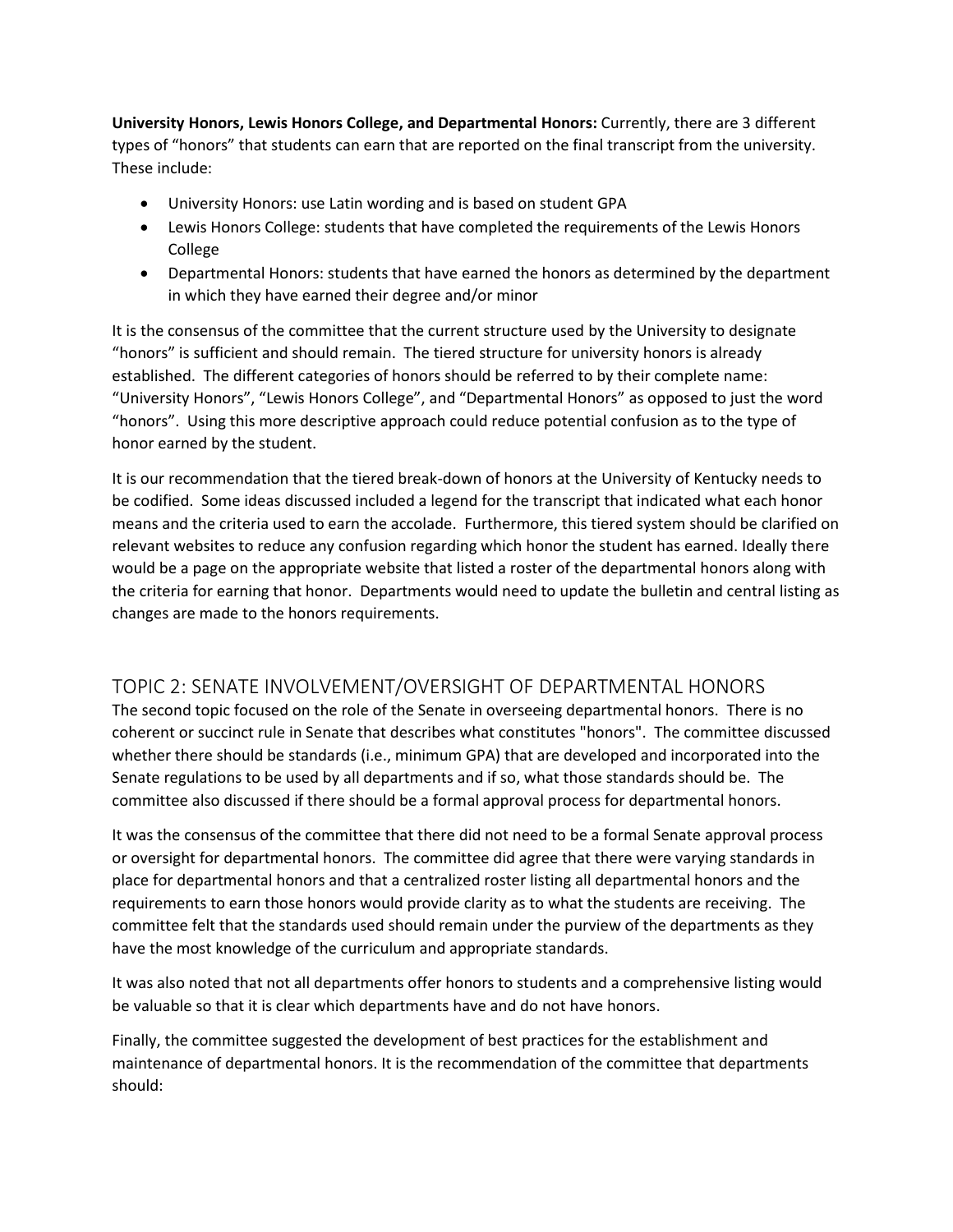**University Honors, Lewis Honors College, and Departmental Honors:** Currently, there are 3 different types of "honors" that students can earn that are reported on the final transcript from the university. These include:

- University Honors: use Latin wording and is based on student GPA
- Lewis Honors College: students that have completed the requirements of the Lewis Honors College
- Departmental Honors: students that have earned the honors as determined by the department in which they have earned their degree and/or minor

It is the consensus of the committee that the current structure used by the University to designate "honors" is sufficient and should remain. The tiered structure for university honors is already established. The different categories of honors should be referred to by their complete name: "University Honors", "Lewis Honors College", and "Departmental Honors" as opposed to just the word "honors". Using this more descriptive approach could reduce potential confusion as to the type of honor earned by the student.

It is our recommendation that the tiered break-down of honors at the University of Kentucky needs to be codified. Some ideas discussed included a legend for the transcript that indicated what each honor means and the criteria used to earn the accolade. Furthermore, this tiered system should be clarified on relevant websites to reduce any confusion regarding which honor the student has earned. Ideally there would be a page on the appropriate website that listed a roster of the departmental honors along with the criteria for earning that honor. Departments would need to update the bulletin and central listing as changes are made to the honors requirements.

## TOPIC 2: SENATE INVOLVEMENT/OVERSIGHT OF DEPARTMENTAL HONORS

The second topic focused on the role of the Senate in overseeing departmental honors. There is no coherent or succinct rule in Senate that describes what constitutes "honors". The committee discussed whether there should be standards (i.e., minimum GPA) that are developed and incorporated into the Senate regulations to be used by all departments and if so, what those standards should be. The committee also discussed if there should be a formal approval process for departmental honors.

It was the consensus of the committee that there did not need to be a formal Senate approval process or oversight for departmental honors. The committee did agree that there were varying standards in place for departmental honors and that a centralized roster listing all departmental honors and the requirements to earn those honors would provide clarity as to what the students are receiving. The committee felt that the standards used should remain under the purview of the departments as they have the most knowledge of the curriculum and appropriate standards.

It was also noted that not all departments offer honors to students and a comprehensive listing would be valuable so that it is clear which departments have and do not have honors.

Finally, the committee suggested the development of best practices for the establishment and maintenance of departmental honors. It is the recommendation of the committee that departments should: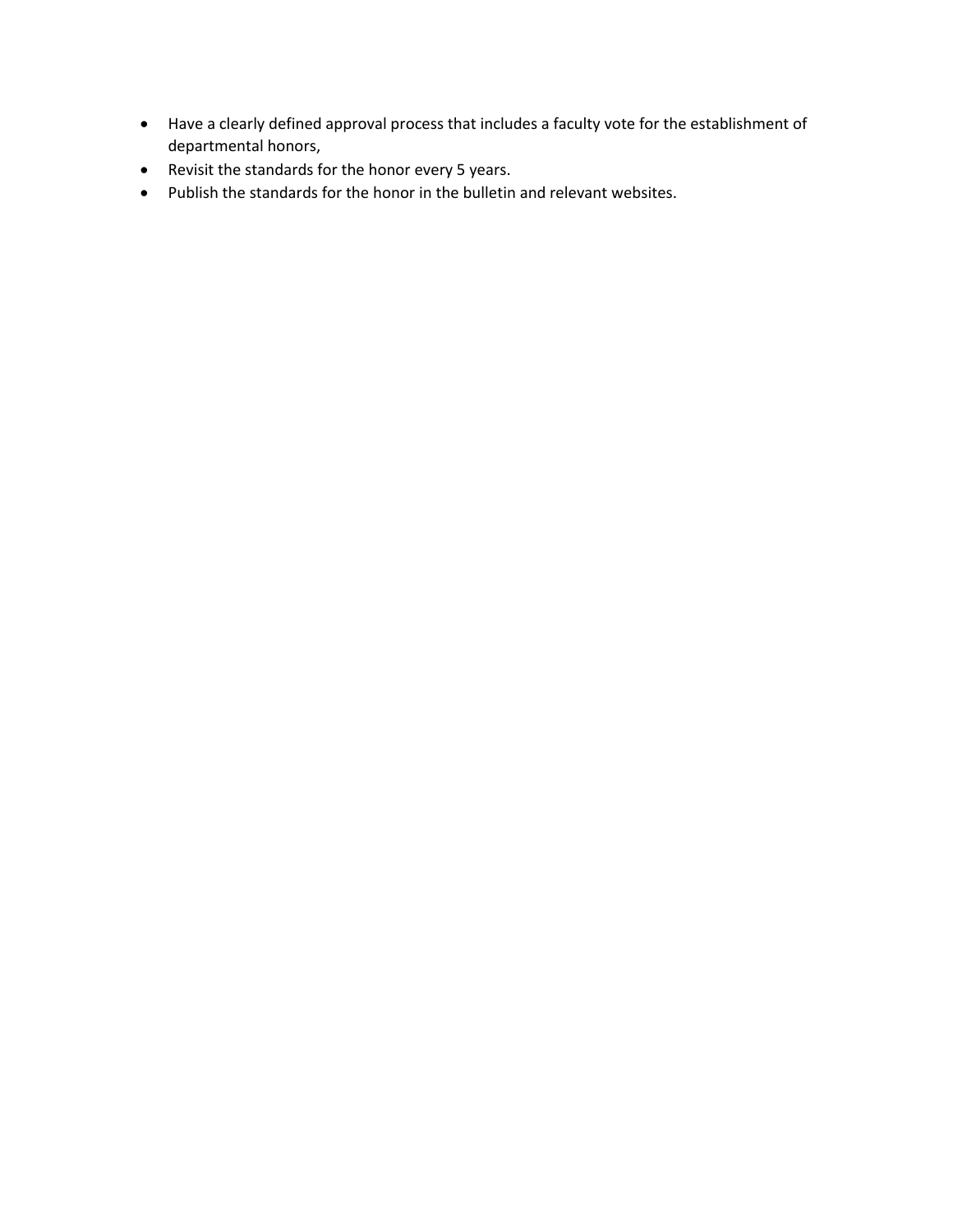- Have a clearly defined approval process that includes a faculty vote for the establishment of departmental honors,
- Revisit the standards for the honor every 5 years.
- Publish the standards for the honor in the bulletin and relevant websites.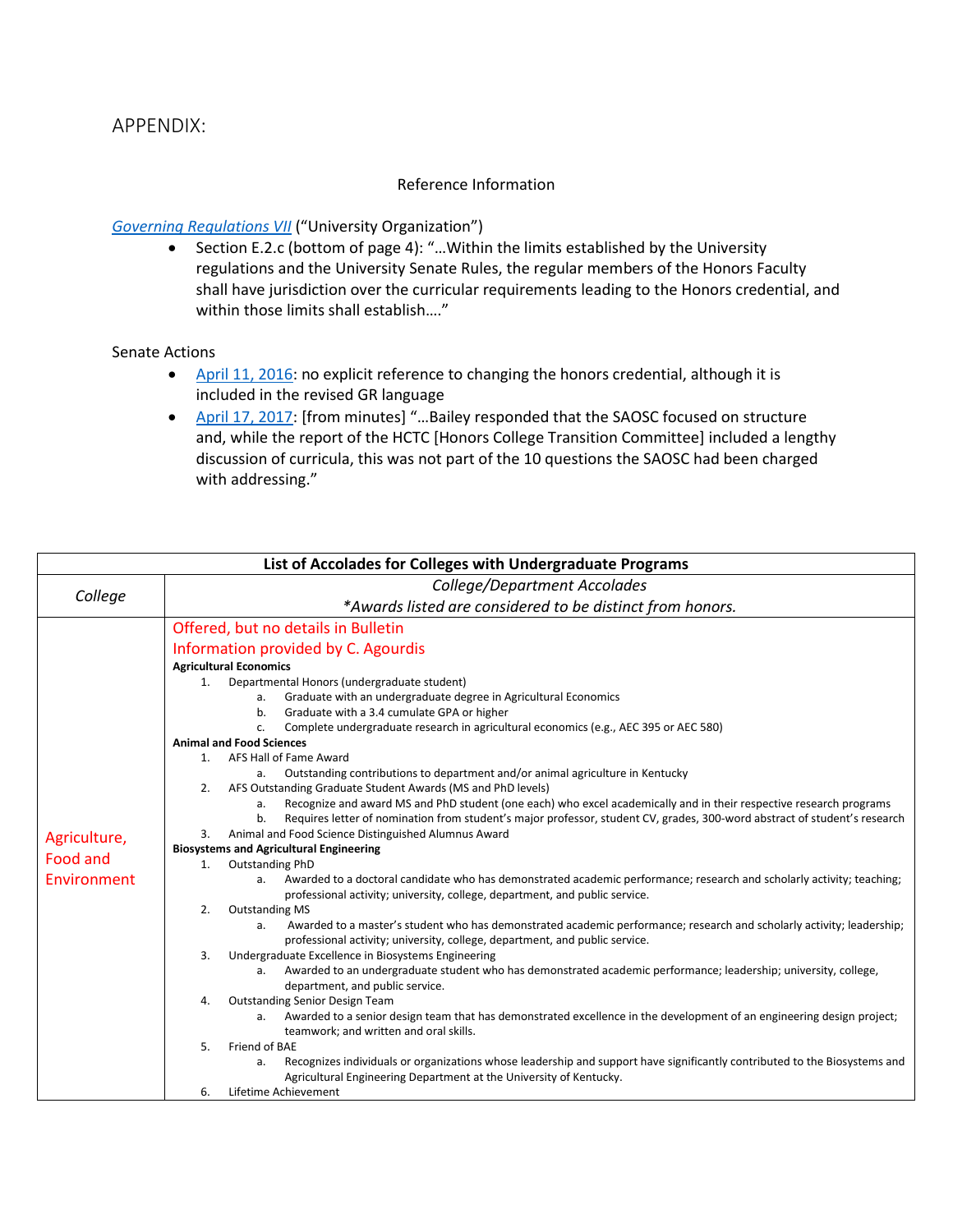## APPENDIX:

#### Reference Information

#### *[Governing Regulations VII](https://www.uky.edu/regs/gr7)* ("University Organization")

• Section E.2.c (bottom of page 4): "…Within the limits established by the University regulations and the University Senate Rules, the regular members of the Honors Faculty shall have jurisdiction over the curricular requirements leading to the Honors credential, and within those limits shall establish…."

#### Senate Actions

- [April 11, 2016:](https://www.uky.edu/universitysenate/senate/2016-04-11) no explicit reference to changing the honors credential, although it is included in the revised GR language
- [April 17, 2017:](https://www.uky.edu/universitysenate/senate/2017-04-17) [from minutes] "...Bailey responded that the SAOSC focused on structure and, while the report of the HCTC [Honors College Transition Committee] included a lengthy discussion of curricula, this was not part of the 10 questions the SAOSC had been charged with addressing."

| List of Accolades for Colleges with Undergraduate Programs |                                                                                                                                                                                                       |  |  |  |  |
|------------------------------------------------------------|-------------------------------------------------------------------------------------------------------------------------------------------------------------------------------------------------------|--|--|--|--|
|                                                            | College/Department Accolades                                                                                                                                                                          |  |  |  |  |
| College                                                    | *Awards listed are considered to be distinct from honors.                                                                                                                                             |  |  |  |  |
|                                                            | Offered, but no details in Bulletin                                                                                                                                                                   |  |  |  |  |
|                                                            | Information provided by C. Agourdis                                                                                                                                                                   |  |  |  |  |
|                                                            | <b>Agricultural Economics</b>                                                                                                                                                                         |  |  |  |  |
|                                                            | Departmental Honors (undergraduate student)<br>1.                                                                                                                                                     |  |  |  |  |
|                                                            | Graduate with an undergraduate degree in Agricultural Economics<br>а.                                                                                                                                 |  |  |  |  |
|                                                            | Graduate with a 3.4 cumulate GPA or higher<br>b.                                                                                                                                                      |  |  |  |  |
|                                                            | Complete undergraduate research in agricultural economics (e.g., AEC 395 or AEC 580)<br>C.                                                                                                            |  |  |  |  |
|                                                            | <b>Animal and Food Sciences</b>                                                                                                                                                                       |  |  |  |  |
|                                                            | AFS Hall of Fame Award<br>1.                                                                                                                                                                          |  |  |  |  |
|                                                            | Outstanding contributions to department and/or animal agriculture in Kentucky<br>а.                                                                                                                   |  |  |  |  |
|                                                            | AFS Outstanding Graduate Student Awards (MS and PhD levels)<br>2.                                                                                                                                     |  |  |  |  |
|                                                            | Recognize and award MS and PhD student (one each) who excel academically and in their respective research programs<br>a.                                                                              |  |  |  |  |
|                                                            | Requires letter of nomination from student's major professor, student CV, grades, 300-word abstract of student's research<br>b.                                                                       |  |  |  |  |
| Agriculture,                                               | Animal and Food Science Distinguished Alumnus Award<br>3.                                                                                                                                             |  |  |  |  |
| <b>Food and</b>                                            | <b>Biosystems and Agricultural Engineering</b>                                                                                                                                                        |  |  |  |  |
| Environment                                                | Outstanding PhD<br>1.<br>Awarded to a doctoral candidate who has demonstrated academic performance; research and scholarly activity; teaching;<br>а.                                                  |  |  |  |  |
|                                                            | professional activity; university, college, department, and public service.                                                                                                                           |  |  |  |  |
|                                                            | 2.<br><b>Outstanding MS</b>                                                                                                                                                                           |  |  |  |  |
|                                                            | Awarded to a master's student who has demonstrated academic performance; research and scholarly activity; leadership;<br>a.                                                                           |  |  |  |  |
|                                                            | professional activity; university, college, department, and public service.                                                                                                                           |  |  |  |  |
|                                                            | 3.<br>Undergraduate Excellence in Biosystems Engineering                                                                                                                                              |  |  |  |  |
|                                                            | Awarded to an undergraduate student who has demonstrated academic performance; leadership; university, college,<br>a.                                                                                 |  |  |  |  |
|                                                            | department, and public service.                                                                                                                                                                       |  |  |  |  |
|                                                            | <b>Outstanding Senior Design Team</b><br>4.                                                                                                                                                           |  |  |  |  |
|                                                            | Awarded to a senior design team that has demonstrated excellence in the development of an engineering design project;<br>а.                                                                           |  |  |  |  |
|                                                            | teamwork; and written and oral skills.                                                                                                                                                                |  |  |  |  |
|                                                            | Friend of BAE<br>5.                                                                                                                                                                                   |  |  |  |  |
|                                                            | Recognizes individuals or organizations whose leadership and support have significantly contributed to the Biosystems and<br>a.<br>Agricultural Engineering Department at the University of Kentucky. |  |  |  |  |
|                                                            | Lifetime Achievement<br>6.                                                                                                                                                                            |  |  |  |  |
|                                                            |                                                                                                                                                                                                       |  |  |  |  |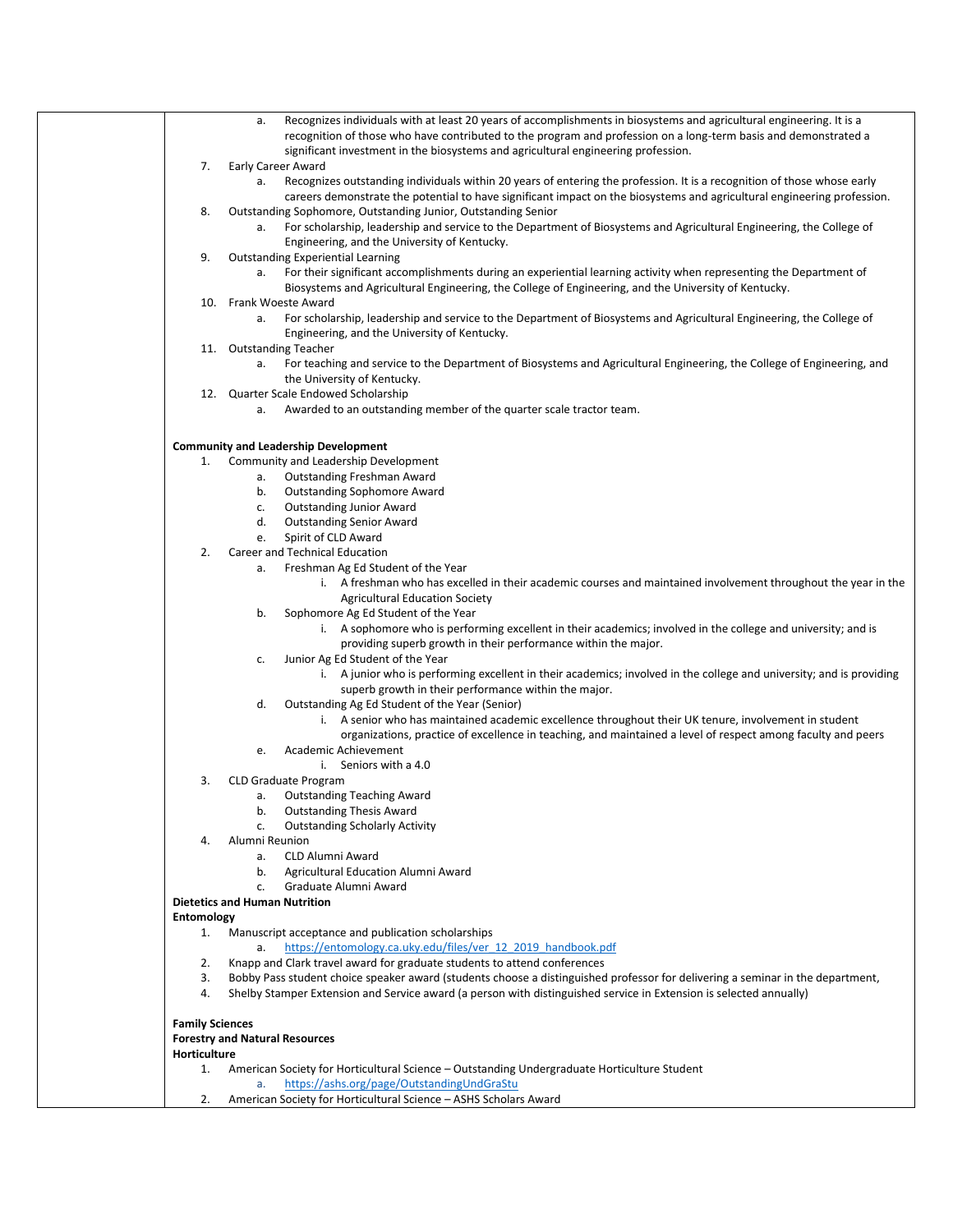| Recognizes individuals with at least 20 years of accomplishments in biosystems and agricultural engineering. It is a<br>а.<br>recognition of those who have contributed to the program and profession on a long-term basis and demonstrated a |  |  |
|-----------------------------------------------------------------------------------------------------------------------------------------------------------------------------------------------------------------------------------------------|--|--|
| significant investment in the biosystems and agricultural engineering profession.                                                                                                                                                             |  |  |
| Early Career Award<br>7.<br>Recognizes outstanding individuals within 20 years of entering the profession. It is a recognition of those whose early<br>а.                                                                                     |  |  |
| careers demonstrate the potential to have significant impact on the biosystems and agricultural engineering profession.                                                                                                                       |  |  |
| 8.<br>Outstanding Sophomore, Outstanding Junior, Outstanding Senior                                                                                                                                                                           |  |  |
| For scholarship, leadership and service to the Department of Biosystems and Agricultural Engineering, the College of<br>а.                                                                                                                    |  |  |
| Engineering, and the University of Kentucky.                                                                                                                                                                                                  |  |  |
| 9.<br><b>Outstanding Experiential Learning</b>                                                                                                                                                                                                |  |  |
| For their significant accomplishments during an experiential learning activity when representing the Department of<br>а.<br>Biosystems and Agricultural Engineering, the College of Engineering, and the University of Kentucky.              |  |  |
| 10. Frank Woeste Award                                                                                                                                                                                                                        |  |  |
| For scholarship, leadership and service to the Department of Biosystems and Agricultural Engineering, the College of<br>а.                                                                                                                    |  |  |
| Engineering, and the University of Kentucky.                                                                                                                                                                                                  |  |  |
| 11. Outstanding Teacher                                                                                                                                                                                                                       |  |  |
| For teaching and service to the Department of Biosystems and Agricultural Engineering, the College of Engineering, and<br>а.                                                                                                                  |  |  |
| the University of Kentucky.<br>12. Quarter Scale Endowed Scholarship                                                                                                                                                                          |  |  |
| Awarded to an outstanding member of the quarter scale tractor team.<br>a.                                                                                                                                                                     |  |  |
|                                                                                                                                                                                                                                               |  |  |
| <b>Community and Leadership Development</b>                                                                                                                                                                                                   |  |  |
| Community and Leadership Development<br>1.                                                                                                                                                                                                    |  |  |
| Outstanding Freshman Award<br>а.                                                                                                                                                                                                              |  |  |
| b.<br><b>Outstanding Sophomore Award</b>                                                                                                                                                                                                      |  |  |
| <b>Outstanding Junior Award</b><br>c.                                                                                                                                                                                                         |  |  |
| d.<br><b>Outstanding Senior Award</b><br>Spirit of CLD Award<br>e.                                                                                                                                                                            |  |  |
| 2.<br>Career and Technical Education                                                                                                                                                                                                          |  |  |
| Freshman Ag Ed Student of the Year<br>а.                                                                                                                                                                                                      |  |  |
| i. A freshman who has excelled in their academic courses and maintained involvement throughout the year in the                                                                                                                                |  |  |
| <b>Agricultural Education Society</b>                                                                                                                                                                                                         |  |  |
| b.<br>Sophomore Ag Ed Student of the Year                                                                                                                                                                                                     |  |  |
| i. A sophomore who is performing excellent in their academics; involved in the college and university; and is<br>providing superb growth in their performance within the major.                                                               |  |  |
| Junior Ag Ed Student of the Year<br>c.                                                                                                                                                                                                        |  |  |
| i. A junior who is performing excellent in their academics; involved in the college and university; and is providing                                                                                                                          |  |  |
| superb growth in their performance within the major.                                                                                                                                                                                          |  |  |
| Outstanding Ag Ed Student of the Year (Senior)<br>d.<br>i. A senior who has maintained academic excellence throughout their UK tenure, involvement in student                                                                                 |  |  |
| organizations, practice of excellence in teaching, and maintained a level of respect among faculty and peers                                                                                                                                  |  |  |
| Academic Achievement<br>e.                                                                                                                                                                                                                    |  |  |
| i. Seniors with a 4.0                                                                                                                                                                                                                         |  |  |
| 3.<br><b>CLD Graduate Program</b>                                                                                                                                                                                                             |  |  |
| <b>Outstanding Teaching Award</b><br>a.                                                                                                                                                                                                       |  |  |
| <b>Outstanding Thesis Award</b><br>b.<br><b>Outstanding Scholarly Activity</b><br>c.                                                                                                                                                          |  |  |
| Alumni Reunion<br>4.                                                                                                                                                                                                                          |  |  |
| CLD Alumni Award<br>а.                                                                                                                                                                                                                        |  |  |
| Agricultural Education Alumni Award<br>b.                                                                                                                                                                                                     |  |  |
| Graduate Alumni Award<br>c.                                                                                                                                                                                                                   |  |  |
| <b>Dietetics and Human Nutrition</b><br>Entomology                                                                                                                                                                                            |  |  |
| Manuscript acceptance and publication scholarships<br>1.                                                                                                                                                                                      |  |  |
| https://entomology.ca.uky.edu/files/ver 12 2019 handbook.pdf<br>а.                                                                                                                                                                            |  |  |
| Knapp and Clark travel award for graduate students to attend conferences<br>2.                                                                                                                                                                |  |  |
| Bobby Pass student choice speaker award (students choose a distinguished professor for delivering a seminar in the department,<br>3.                                                                                                          |  |  |
| Shelby Stamper Extension and Service award (a person with distinguished service in Extension is selected annually)<br>4.                                                                                                                      |  |  |
| <b>Family Sciences</b>                                                                                                                                                                                                                        |  |  |
| <b>Forestry and Natural Resources</b>                                                                                                                                                                                                         |  |  |
| Horticulture                                                                                                                                                                                                                                  |  |  |
| American Society for Horticultural Science – Outstanding Undergraduate Horticulture Student<br>1.                                                                                                                                             |  |  |
| https://ashs.org/page/OutstandingUndGraStu<br>a.<br>American Society for Horticultural Science - ASHS Scholars Award<br>2.                                                                                                                    |  |  |
|                                                                                                                                                                                                                                               |  |  |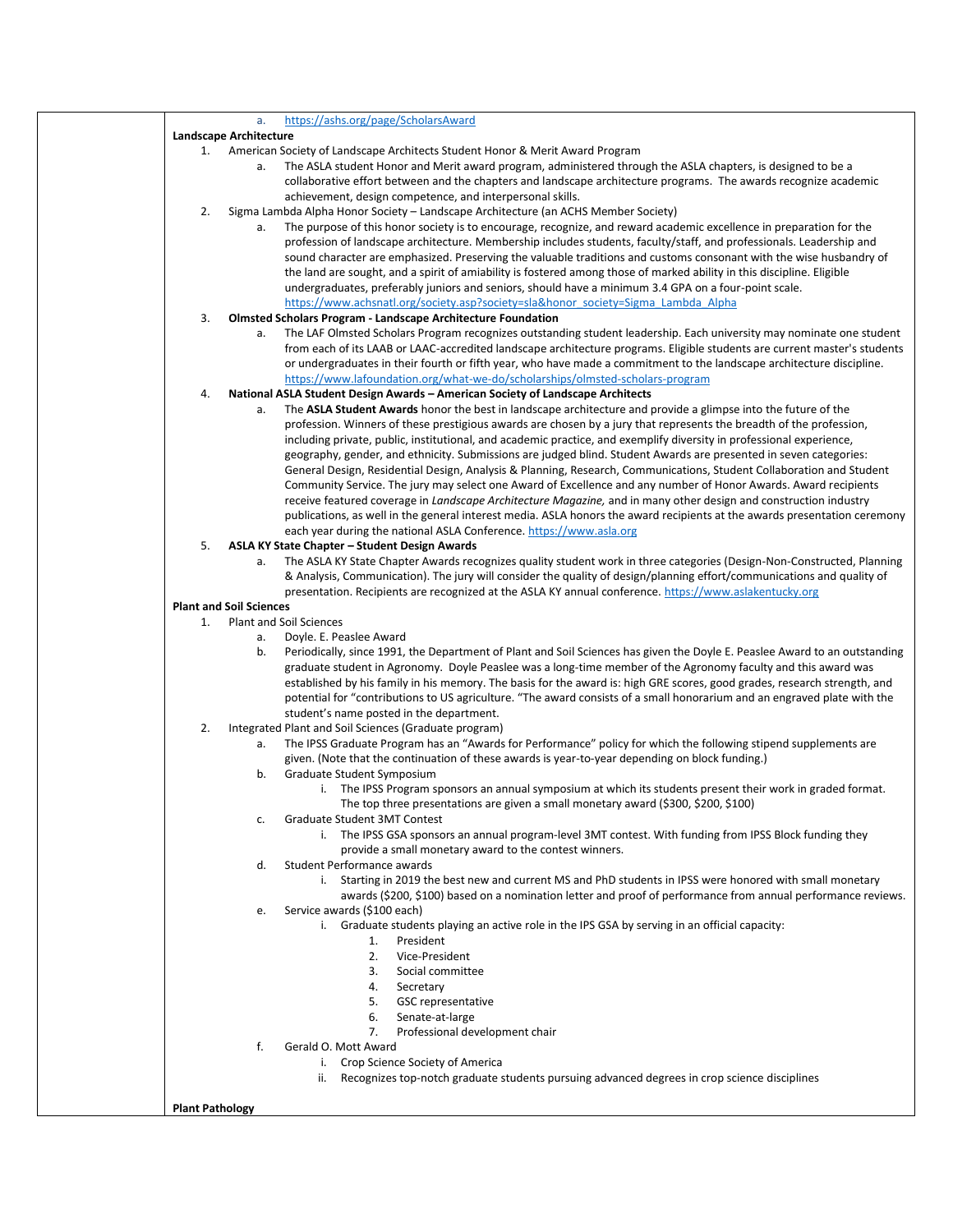|                        | a.                             | https://ashs.org/page/ScholarsAward                                                                                        |
|------------------------|--------------------------------|----------------------------------------------------------------------------------------------------------------------------|
|                        | Landscape Architecture         |                                                                                                                            |
|                        |                                | 1. American Society of Landscape Architects Student Honor & Merit Award Program                                            |
|                        | a.                             | The ASLA student Honor and Merit award program, administered through the ASLA chapters, is designed to be a                |
|                        |                                | collaborative effort between and the chapters and landscape architecture programs. The awards recognize academic           |
|                        |                                | achievement, design competence, and interpersonal skills.                                                                  |
| 2.                     |                                | Sigma Lambda Alpha Honor Society – Landscape Architecture (an ACHS Member Society)                                         |
|                        | а.                             | The purpose of this honor society is to encourage, recognize, and reward academic excellence in preparation for the        |
|                        |                                | profession of landscape architecture. Membership includes students, faculty/staff, and professionals. Leadership and       |
|                        |                                | sound character are emphasized. Preserving the valuable traditions and customs consonant with the wise husbandry of        |
|                        |                                | the land are sought, and a spirit of amiability is fostered among those of marked ability in this discipline. Eligible     |
|                        |                                | undergraduates, preferably juniors and seniors, should have a minimum 3.4 GPA on a four-point scale.                       |
|                        |                                | https://www.achsnatl.org/society.asp?society=sla&honor_society=Sigma_Lambda_Alpha                                          |
| 3.                     |                                | <b>Olmsted Scholars Program - Landscape Architecture Foundation</b>                                                        |
|                        | a.                             | The LAF Olmsted Scholars Program recognizes outstanding student leadership. Each university may nominate one student       |
|                        |                                | from each of its LAAB or LAAC-accredited landscape architecture programs. Eligible students are current master's students  |
|                        |                                | or undergraduates in their fourth or fifth year, who have made a commitment to the landscape architecture discipline.      |
|                        |                                | https://www.lafoundation.org/what-we-do/scholarships/olmsted-scholars-program                                              |
| 4.                     |                                | National ASLA Student Design Awards - American Society of Landscape Architects                                             |
|                        | a.                             | The ASLA Student Awards honor the best in landscape architecture and provide a glimpse into the future of the              |
|                        |                                | profession. Winners of these prestigious awards are chosen by a jury that represents the breadth of the profession,        |
|                        |                                | including private, public, institutional, and academic practice, and exemplify diversity in professional experience,       |
|                        |                                | geography, gender, and ethnicity. Submissions are judged blind. Student Awards are presented in seven categories:          |
|                        |                                | General Design, Residential Design, Analysis & Planning, Research, Communications, Student Collaboration and Student       |
|                        |                                | Community Service. The jury may select one Award of Excellence and any number of Honor Awards. Award recipients            |
|                        |                                | receive featured coverage in Landscape Architecture Magazine, and in many other design and construction industry           |
|                        |                                | publications, as well in the general interest media. ASLA honors the award recipients at the awards presentation ceremony  |
|                        |                                | each year during the national ASLA Conference. https://www.asla.org                                                        |
| 5.                     |                                |                                                                                                                            |
|                        |                                | ASLA KY State Chapter - Student Design Awards                                                                              |
|                        | a.                             | The ASLA KY State Chapter Awards recognizes quality student work in three categories (Design-Non-Constructed, Planning     |
|                        |                                | & Analysis, Communication). The jury will consider the quality of design/planning effort/communications and quality of     |
|                        |                                | presentation. Recipients are recognized at the ASLA KY annual conference. https://www.aslakentucky.org                     |
|                        | <b>Plant and Soil Sciences</b> |                                                                                                                            |
| 1.                     |                                | <b>Plant and Soil Sciences</b>                                                                                             |
|                        | а.                             | Doyle. E. Peaslee Award                                                                                                    |
|                        | b.                             | Periodically, since 1991, the Department of Plant and Soil Sciences has given the Doyle E. Peaslee Award to an outstanding |
|                        |                                | graduate student in Agronomy. Doyle Peaslee was a long-time member of the Agronomy faculty and this award was              |
|                        |                                | established by his family in his memory. The basis for the award is: high GRE scores, good grades, research strength, and  |
|                        |                                | potential for "contributions to US agriculture. "The award consists of a small honorarium and an engraved plate with the   |
|                        |                                | student's name posted in the department.                                                                                   |
| 2.                     |                                | Integrated Plant and Soil Sciences (Graduate program)                                                                      |
|                        | a.                             | The IPSS Graduate Program has an "Awards for Performance" policy for which the following stipend supplements are           |
|                        |                                | given. (Note that the continuation of these awards is year-to-year depending on block funding.)                            |
|                        | b.                             | Graduate Student Symposium                                                                                                 |
|                        |                                | i. The IPSS Program sponsors an annual symposium at which its students present their work in graded format.                |
|                        |                                | The top three presentations are given a small monetary award (\$300, \$200, \$100)                                         |
|                        | c.                             | Graduate Student 3MT Contest                                                                                               |
|                        |                                | i. The IPSS GSA sponsors an annual program-level 3MT contest. With funding from IPSS Block funding they                    |
|                        |                                | provide a small monetary award to the contest winners.                                                                     |
|                        | d.                             | Student Performance awards                                                                                                 |
|                        |                                | i. Starting in 2019 the best new and current MS and PhD students in IPSS were honored with small monetary                  |
|                        |                                | awards (\$200, \$100) based on a nomination letter and proof of performance from annual performance reviews.               |
|                        | e.                             | Service awards (\$100 each)                                                                                                |
|                        |                                | i. Graduate students playing an active role in the IPS GSA by serving in an official capacity:                             |
|                        |                                | President<br>1.                                                                                                            |
|                        |                                | 2.<br>Vice-President                                                                                                       |
|                        |                                | 3.<br>Social committee                                                                                                     |
|                        |                                | 4.<br>Secretary                                                                                                            |
|                        |                                | <b>GSC</b> representative<br>5.                                                                                            |
|                        |                                | 6.<br>Senate-at-large                                                                                                      |
|                        |                                | Professional development chair<br>7.                                                                                       |
|                        | f.                             | Gerald O. Mott Award                                                                                                       |
|                        |                                | i. Crop Science Society of America                                                                                         |
|                        |                                | Recognizes top-notch graduate students pursuing advanced degrees in crop science disciplines<br>ii.                        |
|                        |                                |                                                                                                                            |
| <b>Plant Pathology</b> |                                |                                                                                                                            |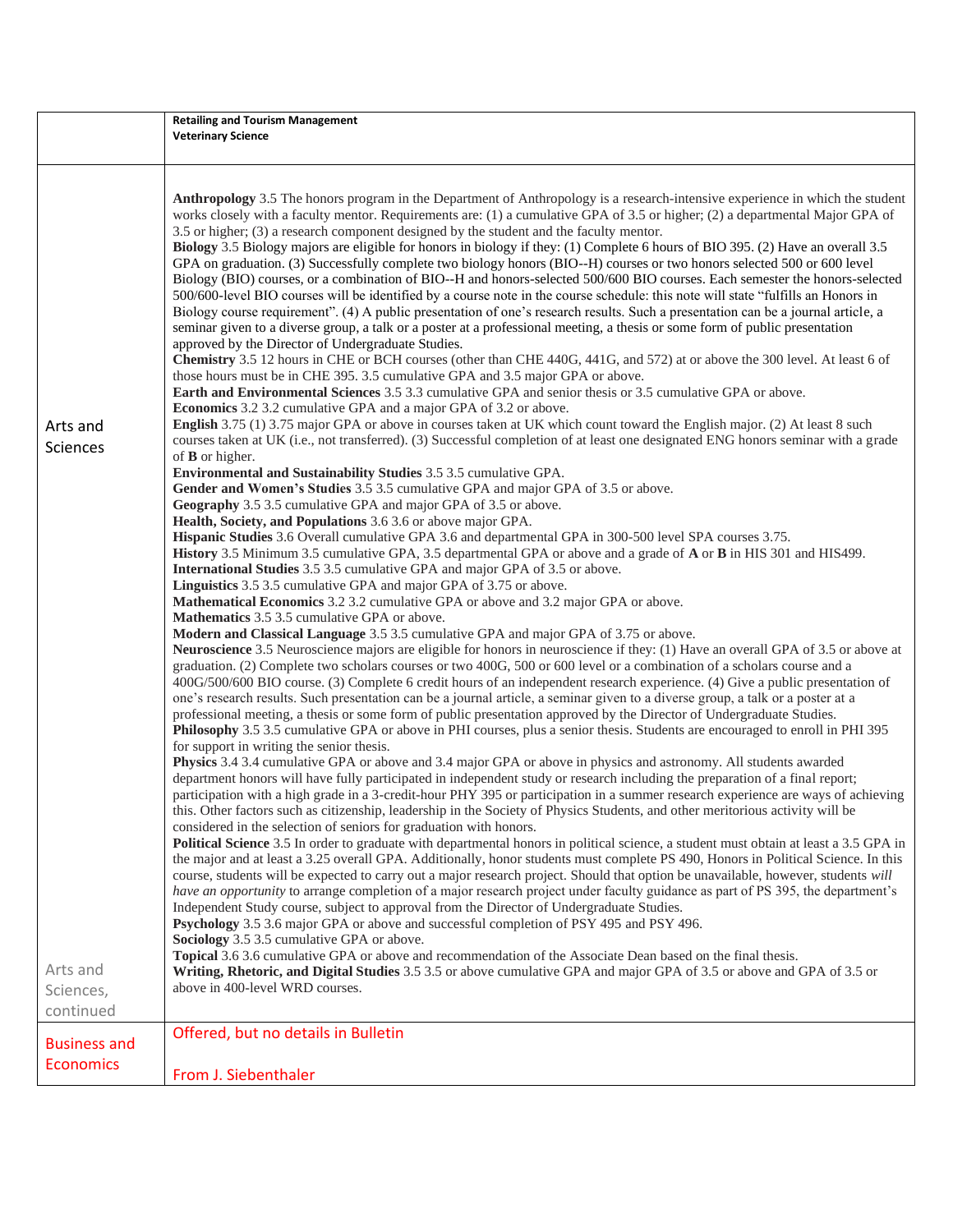|                             | <b>Retailing and Tourism Management</b>                                                                                                                                                                                                                                                                                                                                                                                                                                                                                                                                                                                                                                                                                                                                                                                                                                                                                                                                                                                                                                                                                                                            |  |  |  |  |
|-----------------------------|--------------------------------------------------------------------------------------------------------------------------------------------------------------------------------------------------------------------------------------------------------------------------------------------------------------------------------------------------------------------------------------------------------------------------------------------------------------------------------------------------------------------------------------------------------------------------------------------------------------------------------------------------------------------------------------------------------------------------------------------------------------------------------------------------------------------------------------------------------------------------------------------------------------------------------------------------------------------------------------------------------------------------------------------------------------------------------------------------------------------------------------------------------------------|--|--|--|--|
|                             | <b>Veterinary Science</b>                                                                                                                                                                                                                                                                                                                                                                                                                                                                                                                                                                                                                                                                                                                                                                                                                                                                                                                                                                                                                                                                                                                                          |  |  |  |  |
|                             |                                                                                                                                                                                                                                                                                                                                                                                                                                                                                                                                                                                                                                                                                                                                                                                                                                                                                                                                                                                                                                                                                                                                                                    |  |  |  |  |
|                             | Anthropology 3.5 The honors program in the Department of Anthropology is a research-intensive experience in which the student<br>works closely with a faculty mentor. Requirements are: (1) a cumulative GPA of 3.5 or higher; (2) a departmental Major GPA of<br>3.5 or higher; (3) a research component designed by the student and the faculty mentor.<br>Biology 3.5 Biology majors are eligible for honors in biology if they: (1) Complete 6 hours of BIO 395. (2) Have an overall 3.5<br>GPA on graduation. (3) Successfully complete two biology honors (BIO--H) courses or two honors selected 500 or 600 level<br>Biology (BIO) courses, or a combination of BIO--H and honors-selected 500/600 BIO courses. Each semester the honors-selected<br>500/600-level BIO courses will be identified by a course note in the course schedule: this note will state "fulfills an Honors in<br>Biology course requirement". (4) A public presentation of one's research results. Such a presentation can be a journal article, a<br>seminar given to a diverse group, a talk or a poster at a professional meeting, a thesis or some form of public presentation |  |  |  |  |
|                             | approved by the Director of Undergraduate Studies.                                                                                                                                                                                                                                                                                                                                                                                                                                                                                                                                                                                                                                                                                                                                                                                                                                                                                                                                                                                                                                                                                                                 |  |  |  |  |
|                             | Chemistry 3.5 12 hours in CHE or BCH courses (other than CHE 440G, 441G, and 572) at or above the 300 level. At least 6 of<br>those hours must be in CHE 395. 3.5 cumulative GPA and 3.5 major GPA or above.<br>Earth and Environmental Sciences 3.5 3.3 cumulative GPA and senior thesis or 3.5 cumulative GPA or above.                                                                                                                                                                                                                                                                                                                                                                                                                                                                                                                                                                                                                                                                                                                                                                                                                                          |  |  |  |  |
|                             | <b>Economics</b> 3.2 3.2 cumulative GPA and a major GPA of 3.2 or above.                                                                                                                                                                                                                                                                                                                                                                                                                                                                                                                                                                                                                                                                                                                                                                                                                                                                                                                                                                                                                                                                                           |  |  |  |  |
| Arts and<br><b>Sciences</b> | English 3.75 (1) 3.75 major GPA or above in courses taken at UK which count toward the English major. (2) At least 8 such<br>courses taken at UK (i.e., not transferred). (3) Successful completion of at least one designated ENG honors seminar with a grade                                                                                                                                                                                                                                                                                                                                                                                                                                                                                                                                                                                                                                                                                                                                                                                                                                                                                                     |  |  |  |  |
|                             | of $\bf{B}$ or higher.<br>Environmental and Sustainability Studies 3.5 3.5 cumulative GPA.                                                                                                                                                                                                                                                                                                                                                                                                                                                                                                                                                                                                                                                                                                                                                                                                                                                                                                                                                                                                                                                                         |  |  |  |  |
|                             | Gender and Women's Studies 3.5 3.5 cumulative GPA and major GPA of 3.5 or above.                                                                                                                                                                                                                                                                                                                                                                                                                                                                                                                                                                                                                                                                                                                                                                                                                                                                                                                                                                                                                                                                                   |  |  |  |  |
|                             | Geography 3.5 3.5 cumulative GPA and major GPA of 3.5 or above.                                                                                                                                                                                                                                                                                                                                                                                                                                                                                                                                                                                                                                                                                                                                                                                                                                                                                                                                                                                                                                                                                                    |  |  |  |  |
|                             | Health, Society, and Populations 3.6 3.6 or above major GPA.<br>Hispanic Studies 3.6 Overall cumulative GPA 3.6 and departmental GPA in 300-500 level SPA courses 3.75.                                                                                                                                                                                                                                                                                                                                                                                                                                                                                                                                                                                                                                                                                                                                                                                                                                                                                                                                                                                            |  |  |  |  |
|                             | History 3.5 Minimum 3.5 cumulative GPA, 3.5 departmental GPA or above and a grade of A or B in HIS 301 and HIS499.                                                                                                                                                                                                                                                                                                                                                                                                                                                                                                                                                                                                                                                                                                                                                                                                                                                                                                                                                                                                                                                 |  |  |  |  |
|                             | International Studies 3.5 3.5 cumulative GPA and major GPA of 3.5 or above.                                                                                                                                                                                                                                                                                                                                                                                                                                                                                                                                                                                                                                                                                                                                                                                                                                                                                                                                                                                                                                                                                        |  |  |  |  |
|                             | Linguistics 3.5 3.5 cumulative GPA and major GPA of 3.75 or above.<br><b>Mathematical Economics</b> 3.2 3.2 cumulative GPA or above and 3.2 major GPA or above.                                                                                                                                                                                                                                                                                                                                                                                                                                                                                                                                                                                                                                                                                                                                                                                                                                                                                                                                                                                                    |  |  |  |  |
|                             | Mathematics 3.5 3.5 cumulative GPA or above.                                                                                                                                                                                                                                                                                                                                                                                                                                                                                                                                                                                                                                                                                                                                                                                                                                                                                                                                                                                                                                                                                                                       |  |  |  |  |
|                             | <b>Modern and Classical Language</b> 3.5 3.5 cumulative GPA and major GPA of 3.75 or above.                                                                                                                                                                                                                                                                                                                                                                                                                                                                                                                                                                                                                                                                                                                                                                                                                                                                                                                                                                                                                                                                        |  |  |  |  |
|                             | Neuroscience 3.5 Neuroscience majors are eligible for honors in neuroscience if they: (1) Have an overall GPA of 3.5 or above at<br>graduation. (2) Complete two scholars courses or two 400G, 500 or 600 level or a combination of a scholars course and a<br>400G/500/600 BIO course. (3) Complete 6 credit hours of an independent research experience. (4) Give a public presentation of                                                                                                                                                                                                                                                                                                                                                                                                                                                                                                                                                                                                                                                                                                                                                                       |  |  |  |  |
|                             | one's research results. Such presentation can be a journal article, a seminar given to a diverse group, a talk or a poster at a<br>professional meeting, a thesis or some form of public presentation approved by the Director of Undergraduate Studies.<br>Philosophy 3.5 3.5 cumulative GPA or above in PHI courses, plus a senior thesis. Students are encouraged to enroll in PHI 395                                                                                                                                                                                                                                                                                                                                                                                                                                                                                                                                                                                                                                                                                                                                                                          |  |  |  |  |
|                             | for support in writing the senior thesis.                                                                                                                                                                                                                                                                                                                                                                                                                                                                                                                                                                                                                                                                                                                                                                                                                                                                                                                                                                                                                                                                                                                          |  |  |  |  |
|                             | Physics 3.4 3.4 cumulative GPA or above and 3.4 major GPA or above in physics and astronomy. All students awarded<br>department honors will have fully participated in independent study or research including the preparation of a final report;<br>participation with a high grade in a 3-credit-hour PHY 395 or participation in a summer research experience are ways of achieving                                                                                                                                                                                                                                                                                                                                                                                                                                                                                                                                                                                                                                                                                                                                                                             |  |  |  |  |
|                             | this. Other factors such as citizenship, leadership in the Society of Physics Students, and other meritorious activity will be<br>considered in the selection of seniors for graduation with honors.                                                                                                                                                                                                                                                                                                                                                                                                                                                                                                                                                                                                                                                                                                                                                                                                                                                                                                                                                               |  |  |  |  |
|                             | Political Science 3.5 In order to graduate with departmental honors in political science, a student must obtain at least a 3.5 GPA in                                                                                                                                                                                                                                                                                                                                                                                                                                                                                                                                                                                                                                                                                                                                                                                                                                                                                                                                                                                                                              |  |  |  |  |
|                             | the major and at least a 3.25 overall GPA. Additionally, honor students must complete PS 490, Honors in Political Science. In this<br>course, students will be expected to carry out a major research project. Should that option be unavailable, however, students will                                                                                                                                                                                                                                                                                                                                                                                                                                                                                                                                                                                                                                                                                                                                                                                                                                                                                           |  |  |  |  |
|                             | have an opportunity to arrange completion of a major research project under faculty guidance as part of PS 395, the department's                                                                                                                                                                                                                                                                                                                                                                                                                                                                                                                                                                                                                                                                                                                                                                                                                                                                                                                                                                                                                                   |  |  |  |  |
|                             | Independent Study course, subject to approval from the Director of Undergraduate Studies.                                                                                                                                                                                                                                                                                                                                                                                                                                                                                                                                                                                                                                                                                                                                                                                                                                                                                                                                                                                                                                                                          |  |  |  |  |
|                             | Psychology 3.5 3.6 major GPA or above and successful completion of PSY 495 and PSY 496.<br>Sociology 3.5 3.5 cumulative GPA or above.                                                                                                                                                                                                                                                                                                                                                                                                                                                                                                                                                                                                                                                                                                                                                                                                                                                                                                                                                                                                                              |  |  |  |  |
|                             | Topical 3.6 3.6 cumulative GPA or above and recommendation of the Associate Dean based on the final thesis.                                                                                                                                                                                                                                                                                                                                                                                                                                                                                                                                                                                                                                                                                                                                                                                                                                                                                                                                                                                                                                                        |  |  |  |  |
| Arts and                    | Writing, Rhetoric, and Digital Studies 3.5 3.5 or above cumulative GPA and major GPA of 3.5 or above and GPA of 3.5 or                                                                                                                                                                                                                                                                                                                                                                                                                                                                                                                                                                                                                                                                                                                                                                                                                                                                                                                                                                                                                                             |  |  |  |  |
| Sciences,                   | above in 400-level WRD courses.                                                                                                                                                                                                                                                                                                                                                                                                                                                                                                                                                                                                                                                                                                                                                                                                                                                                                                                                                                                                                                                                                                                                    |  |  |  |  |
| continued                   |                                                                                                                                                                                                                                                                                                                                                                                                                                                                                                                                                                                                                                                                                                                                                                                                                                                                                                                                                                                                                                                                                                                                                                    |  |  |  |  |
| <b>Business and</b>         | Offered, but no details in Bulletin                                                                                                                                                                                                                                                                                                                                                                                                                                                                                                                                                                                                                                                                                                                                                                                                                                                                                                                                                                                                                                                                                                                                |  |  |  |  |
| <b>Economics</b>            |                                                                                                                                                                                                                                                                                                                                                                                                                                                                                                                                                                                                                                                                                                                                                                                                                                                                                                                                                                                                                                                                                                                                                                    |  |  |  |  |
|                             | From J. Siebenthaler                                                                                                                                                                                                                                                                                                                                                                                                                                                                                                                                                                                                                                                                                                                                                                                                                                                                                                                                                                                                                                                                                                                                               |  |  |  |  |